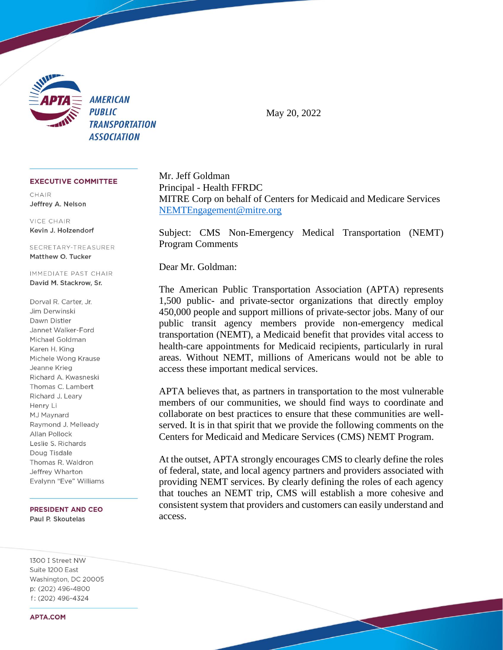

May 20, 2022

## **EXECUTIVE COMMITTEE**

 $CHAIR$ Jeffrey A. Nelson

**VICE CHAIR** Kevin J. Holzendorf

SECRETARY-TREASURER Matthew O. Tucker

IMMEDIATE PAST CHAIR David M. Stackrow, Sr.

Dorval R. Carter, Jr. Jim Derwinski Dawn Distler Jannet Walker-Ford Michael Goldman Karen H. King Michele Wong Krause Jeanne Krieg Richard A. Kwasneski Thomas C. Lambert Richard J. Leary Henry Li MJ Maynard Raymond J. Melleady Allan Pollock Leslie S. Richards Doug Tisdale Thomas R. Waldron Jeffrey Wharton Evalynn "Eve" Williams

**PRESIDENT AND CEO** Paul P. Skoutelas

1300 I Street NW Suite 1200 East Washington, DC 20005 p: (202) 496-4800 f: (202) 496-4324

**APTA,COM** 

Mr. Jeff Goldman Principal - Health FFRDC MITRE Corp on behalf of Centers for Medicaid and Medicare Services [NEMTEngagement@mitre.org](mailto:NEMTEngagement@mitre.org)

Subject: CMS Non-Emergency Medical Transportation (NEMT) Program Comments

Dear Mr. Goldman:

The American Public Transportation Association (APTA) represents 1,500 public- and private-sector organizations that directly employ 450,000 people and support millions of private-sector jobs. Many of our public transit agency members provide non-emergency medical transportation (NEMT), a Medicaid benefit that provides vital access to health-care appointments for Medicaid recipients, particularly in rural areas. Without NEMT, millions of Americans would not be able to access these important medical services.

APTA believes that, as partners in transportation to the most vulnerable members of our communities, we should find ways to coordinate and collaborate on best practices to ensure that these communities are wellserved. It is in that spirit that we provide the following comments on the Centers for Medicaid and Medicare Services (CMS) NEMT Program.

At the outset, APTA strongly encourages CMS to clearly define the roles of federal, state, and local agency partners and providers associated with providing NEMT services. By clearly defining the roles of each agency that touches an NEMT trip, CMS will establish a more cohesive and consistent system that providers and customers can easily understand and access.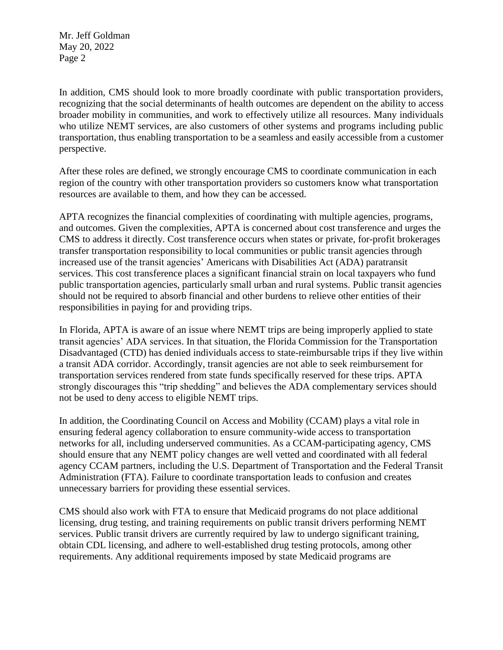Mr. Jeff Goldman May 20, 2022 Page 2

In addition, CMS should look to more broadly coordinate with public transportation providers, recognizing that the social determinants of health outcomes are dependent on the ability to access broader mobility in communities, and work to effectively utilize all resources. Many individuals who utilize NEMT services, are also customers of other systems and programs including public transportation, thus enabling transportation to be a seamless and easily accessible from a customer perspective.

After these roles are defined, we strongly encourage CMS to coordinate communication in each region of the country with other transportation providers so customers know what transportation resources are available to them, and how they can be accessed.

APTA recognizes the financial complexities of coordinating with multiple agencies, programs, and outcomes. Given the complexities, APTA is concerned about cost transference and urges the CMS to address it directly. Cost transference occurs when states or private, for-profit brokerages transfer transportation responsibility to local communities or public transit agencies through increased use of the transit agencies' Americans with Disabilities Act (ADA) paratransit services. This cost transference places a significant financial strain on local taxpayers who fund public transportation agencies, particularly small urban and rural systems. Public transit agencies should not be required to absorb financial and other burdens to relieve other entities of their responsibilities in paying for and providing trips.

In Florida, APTA is aware of an issue where NEMT trips are being improperly applied to state transit agencies' ADA services. In that situation, the Florida Commission for the Transportation Disadvantaged (CTD) has denied individuals access to state-reimbursable trips if they live within a transit ADA corridor. Accordingly, transit agencies are not able to seek reimbursement for transportation services rendered from state funds specifically reserved for these trips. APTA strongly discourages this "trip shedding" and believes the ADA complementary services should not be used to deny access to eligible NEMT trips.

In addition, the Coordinating Council on Access and Mobility (CCAM) plays a vital role in ensuring federal agency collaboration to ensure community-wide access to transportation networks for all, including underserved communities. As a CCAM-participating agency, CMS should ensure that any NEMT policy changes are well vetted and coordinated with all federal agency CCAM partners, including the U.S. Department of Transportation and the Federal Transit Administration (FTA). Failure to coordinate transportation leads to confusion and creates unnecessary barriers for providing these essential services.

CMS should also work with FTA to ensure that Medicaid programs do not place additional licensing, drug testing, and training requirements on public transit drivers performing NEMT services. Public transit drivers are currently required by law to undergo significant training, obtain CDL licensing, and adhere to well-established drug testing protocols, among other requirements. Any additional requirements imposed by state Medicaid programs are